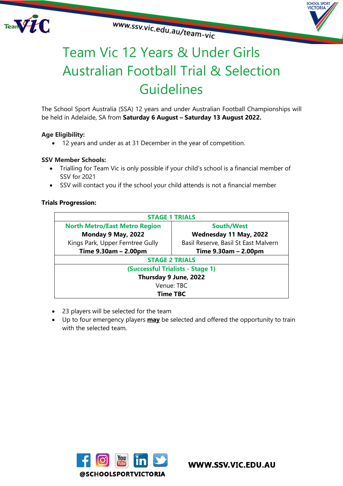





# Team Vic 12 Years & Under Girls Australian Football Trial & Selection **Guidelines**

The School Sport Australia (SSA) 12 years and under Australian Football Championships will be held in Adelaide, SA from **Saturday 6 August – Saturday 13 August 2022.**

### **Age Eligibility:**

• 12 years and under as at 31 December in the year of competition.

### **SSV Member Schools:**

- Trialling for Team Vic is only possible if your child's school is a financial member of SSV for 2021
- SSV will contact you if the school your child attends is not a financial member

### **Trials Progression:**

| <b>STAGE 1 TRIALS</b>                |                                      |
|--------------------------------------|--------------------------------------|
| <b>North Metro/East Metro Region</b> | <b>South/West</b>                    |
| Monday 9 May, 2022                   | Wednesday 11 May, 2022               |
| Kings Park, Upper Ferntree Gully     | Basil Reserve, Basil St East Malvern |
| Time 9.30am - 2.00pm                 | Time 9.30am - 2.00pm                 |
| <b>STAGE 2 TRIALS</b>                |                                      |
| (Successful Trialists - Stage 1)     |                                      |
| Thursday 9 June, 2022                |                                      |
| Venue: TBC                           |                                      |
| <b>Time TBC</b>                      |                                      |

- 23 players will be selected for the team
- Up to four emergency players **may** be selected and offered the opportunity to train with the selected team.

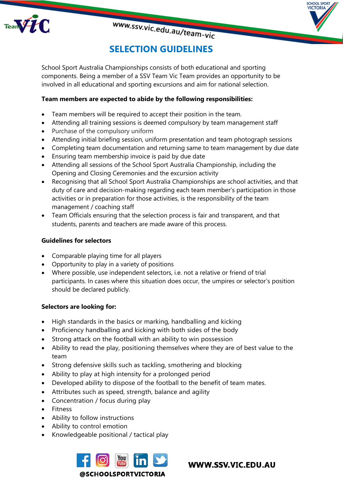



# **SELECTION GUIDELINES**

www.ssv.vic.edu.au/team-vic

School Sport Australia Championships consists of both educational and sporting components. Being a member of a SSV Team Vic Team provides an opportunity to be involved in all educational and sporting excursions and aim for national selection.

## **Team members are expected to abide by the following responsibilities:**

- Team members will be required to accept their position in the team.
- Attending all training sessions is deemed compulsory by team management staff
- Purchase of the compulsory uniform
- Attending initial briefing session, uniform presentation and team photograph sessions
- Completing team documentation and returning same to team management by due date
- Ensuring team membership invoice is paid by due date
- Attending all sessions of the School Sport Australia Championship, including the Opening and Closing Ceremonies and the excursion activity
- Recognising that all School Sport Australia Championships are school activities, and that duty of care and decision-making regarding each team member's participation in those activities or in preparation for those activities, is the responsibility of the team management / coaching staff
- Team Officials ensuring that the selection process is fair and transparent, and that students, parents and teachers are made aware of this process.

### **Guidelines for selectors**

- Comparable playing time for all players
- Opportunity to play in a variety of positions
- Where possible, use independent selectors, i.e. not a relative or friend of trial participants. In cases where this situation does occur, the umpires or selector's position should be declared publicly.

### **Selectors are looking for:**

- High standards in the basics or marking, handballing and kicking
- Proficiency handballing and kicking with both sides of the body
- Strong attack on the football with an ability to win possession
- Ability to read the play, positioning themselves where they are of best value to the team
- Strong defensive skills such as tackling, smothering and blocking
- Ability to play at high intensity for a prolonged period
- Developed ability to dispose of the football to the benefit of team mates.
- Attributes such as speed, strength, balance and agility
- Concentration / focus during play
- Fitness
- Ability to follow instructions
- Ability to control emotion
- Knowledgeable positional / tactical play



WWW.SSV.VIC.EDU.AU